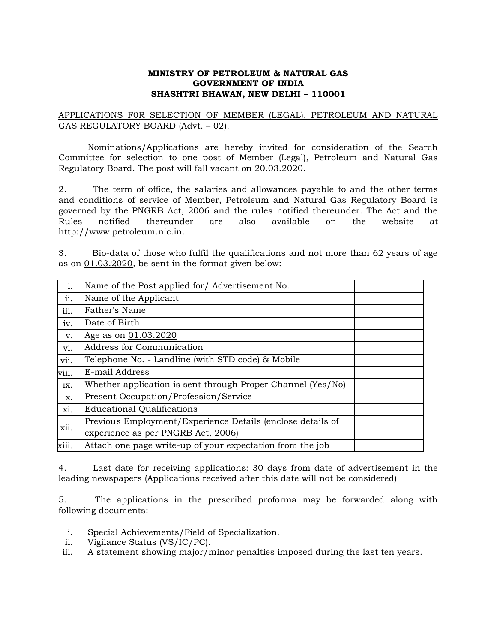## **MINISTRY OF PETROLEUM & NATURAL GAS GOVERNMENT OF INDIA SHASHTRI BHAWAN, NEW DELHI – 110001**

## APPLICATIONS F0R SELECTION OF MEMBER (LEGAL), PETROLEUM AND NATURAL GAS REGULATORY BOARD (Advt. – 02).

Nominations/Applications are hereby invited for consideration of the Search Committee for selection to one post of Member (Legal), Petroleum and Natural Gas Regulatory Board. The post will fall vacant on 20.03.2020.

2. The term of office, the salaries and allowances payable to and the other terms and conditions of service of Member, Petroleum and Natural Gas Regulatory Board is governed by the PNGRB Act, 2006 and the rules notified thereunder. The Act and the Rules notified thereunder are also available on the website at http://www.petroleum.nic.in.

3. Bio-data of those who fulfil the qualifications and not more than 62 years of age as on 01.03.2020, be sent in the format given below:

| $i$ . | Name of the Post applied for/ Advertisement No.             |  |
|-------|-------------------------------------------------------------|--|
| ii.   | Name of the Applicant                                       |  |
| iii.  | Father's Name                                               |  |
| iv.   | Date of Birth                                               |  |
| V.    | Age as on 01.03.2020                                        |  |
| vi.   | <b>Address for Communication</b>                            |  |
| vii.  | Telephone No. - Landline (with STD code) & Mobile           |  |
| viii. | E-mail Address                                              |  |
| ix.   | Whether application is sent through Proper Channel (Yes/No) |  |
| X.    | Present Occupation/Profession/Service                       |  |
| xi.   | <b>Educational Qualifications</b>                           |  |
| xii.  | Previous Employment/Experience Details (enclose details of  |  |
|       | experience as per PNGRB Act, 2006)                          |  |
| xiii. | Attach one page write-up of your expectation from the job   |  |

4. Last date for receiving applications: 30 days from date of advertisement in the leading newspapers (Applications received after this date will not be considered)

5. The applications in the prescribed proforma may be forwarded along with following documents:-

- i. Special Achievements/Field of Specialization.
- ii. Vigilance Status (VS/IC/PC).
- iii. A statement showing major/minor penalties imposed during the last ten years.